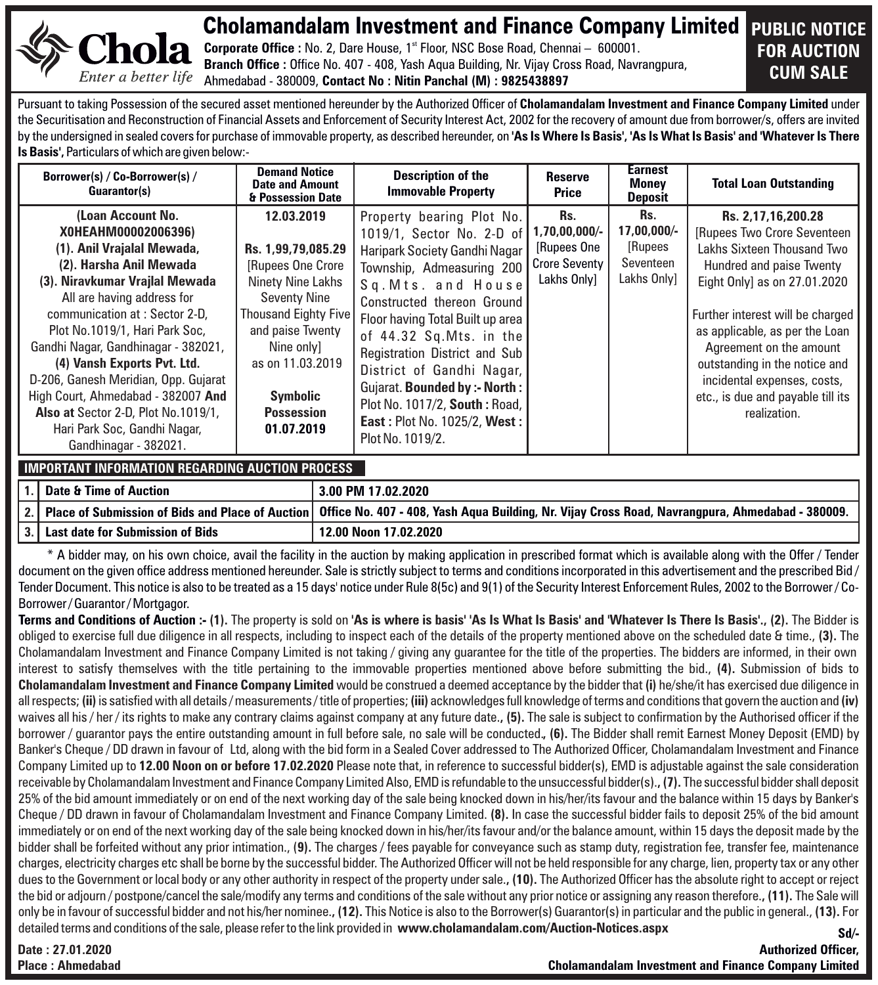

Cholamandalam Investment and Finance Company Limited **PUBLIC NOTICE** 

Corporate Office : No. 2, Dare House, 1<sup>st</sup> Floor, NSC Bose Road, Chennai - 600001. **Branch Office :** Office No. 407 - 408, Yash Aqua Building, Nr. Vijay Cross Road, Navrangpura, Ahmedabad - 380009, **Contact No : Nitin Panchal (M) : 9825438897**

# **FOR AUCTION CUM SALE**

Pursuant to taking Possession of the secured asset mentioned hereunder by the Authorized Officer of **Cholamandalam Investment and Finance Company Limited** under the Securitisation and Reconstruction of Financial Assets and Enforcement of Security Interest Act, 2002 for the recovery of amount due from borrower/s, offers are invited by the undersigned in sealed covers for purchase of immovable property, as described hereunder, on **'As Is Where Is Basis', 'As Is What Is Basis' and 'Whatever Is There Is Basis',** Particulars of which are given below:-

| Borrower(s) / Co-Borrower(s) /<br>Guarantor(s)                                                                                                                                                                                                                                                                                                                                                                                                                                           | <b>Demand Notice</b><br><b>Date and Amount</b><br>& Possession Date                                                                                                                                                             | <b>Description of the</b><br><b>Immovable Property</b>                                                                                                                                                                                                                                                                                                                                                                              | Reserve<br>Price                                                             | Earnest<br><b>Money</b><br><b>Deposit</b>                  | <b>Total Loan Outstanding</b>                                                                                                                                                                                                                                                                                                                                      |
|------------------------------------------------------------------------------------------------------------------------------------------------------------------------------------------------------------------------------------------------------------------------------------------------------------------------------------------------------------------------------------------------------------------------------------------------------------------------------------------|---------------------------------------------------------------------------------------------------------------------------------------------------------------------------------------------------------------------------------|-------------------------------------------------------------------------------------------------------------------------------------------------------------------------------------------------------------------------------------------------------------------------------------------------------------------------------------------------------------------------------------------------------------------------------------|------------------------------------------------------------------------------|------------------------------------------------------------|--------------------------------------------------------------------------------------------------------------------------------------------------------------------------------------------------------------------------------------------------------------------------------------------------------------------------------------------------------------------|
| (Loan Account No.<br>X0HEAHM00002006396)<br>(1). Anil Vrajalal Mewada,<br>(2). Harsha Anil Mewada<br>(3). Niravkumar Vrajlal Mewada<br>All are having address for<br>communication at: Sector 2-D.<br>Plot No.1019/1, Hari Park Soc.<br>Gandhi Nagar, Gandhinagar - 382021,<br>(4) Vansh Exports Pvt. Ltd.<br>D-206, Ganesh Meridian, Opp. Gujarat<br>High Court, Ahmedabad - 382007 And<br>Also at Sector 2-D, Plot No.1019/1,<br>Hari Park Soc, Gandhi Nagar,<br>Gandhinagar - 382021. | 12.03.2019<br>Rs. 1.99.79.085.29<br>[Rupees One Crore]<br>Ninety Nine Lakhs<br><b>Seventy Nine</b><br>Thousand Eighty Five<br>and paise Twenty<br>Nine only]<br>as on 11.03.2019<br>Symbolic<br><b>Possession</b><br>01.07.2019 | Property bearing Plot No.<br>1019/1, Sector No. 2-D of<br>Haripark Society Gandhi Nagar<br>Township, Admeasuring 200<br>Sq. Mts. and House<br>Constructed thereon Ground<br>Floor having Total Built up area<br>of 44.32 Sq.Mts. in the<br>Registration District and Sub<br>District of Gandhi Nagar,<br>Gujarat. Bounded by :- North :<br>Plot No. 1017/2, South: Road,<br><b>East: Plot No. 1025/2, West:</b><br>Plot No. 1019/2. | Rs.<br>$1.70.00.000/-$<br>[Rupees One<br><b>Crore Seventy</b><br>Lakhs Only] | Rs.<br>17,00,000/-<br>[Rupees]<br>Seventeen<br>Lakhs Only] | Rs. 2,17,16,200.28<br>[Rupees Two Crore Seventeen]<br>Lakhs Sixteen Thousand Two<br>Hundred and paise Twenty<br>Eight Only] as on 27.01.2020<br>Further interest will be charged<br>as applicable, as per the Loan<br>Agreement on the amount<br>outstanding in the notice and<br>incidental expenses, costs,<br>etc., is due and payable till its<br>realization. |

#### **IMPORTANT INFORMATION REGARDING AUCTION PROCESS**

| <b>Date &amp; Time of Auction</b>   | 3.00 PM 17.02.2020                                                                                                                                       |
|-------------------------------------|----------------------------------------------------------------------------------------------------------------------------------------------------------|
|                                     | 2.   Place of Submission of Bids and Place of Auction   Office No. 407 - 408, Yash Aqua Building, Nr. Vijay Cross Road, Navrangpura, Ahmedabad - 380009. |
| 3. Last date for Submission of Bids | 12.00 Noon 17.02.2020                                                                                                                                    |

\* A bidder may, on his own choice, avail the facility in the auction by making application in prescribed format which is available along with the Offer / Tender document on the given office address mentioned hereunder. Sale is strictly subject to terms and conditions incorporated in this advertisement and the prescribed Bid / Tender Document. This notice is also to be treated as a 15 days' notice under Rule 8(5c) and 9(1) of the Security Interest Enforcement Rules, 2002 to the Borrower / Co-Borrower / Guarantor / Mortgagor.

**Terms and Conditions of Auction :- (1).** The property is sold on **'As is where is basis' 'As Is What Is Basis' and 'Whatever Is There Is Basis'., (2).** The Bidder is obliged to exercise full due diligence in all respects, including to inspect each of the details of the property mentioned above on the scheduled date & time., **(3).** The Cholamandalam Investment and Finance Company Limited is not taking / giving any guarantee for the title of the properties. The bidders are informed, in their own interest to satisfy themselves with the title pertaining to the immovable properties mentioned above before submitting the bid., **(4).** Submission of bids to **Cholamandalam Investment and Finance Company Limited** would be construed a deemed acceptance by the bidder that **(i)** he/she/it has exercised due diligence in all respects; **(ii)**is satisfied with all details / measurements / title of properties; **(iii)** acknowledges full knowledge of terms and conditions that govern the auction and **(iv)**  waives all his / her / its rights to make any contrary claims against company at any future date., (5). The sale is subject to confirmation by the Authorised officer if the borrower / guarantor pays the entire outstanding amount in full before sale, no sale will be conducted.**, (6).** The Bidder shall remit Earnest Money Deposit (EMD) by Banker's Cheque / DD drawn in favour of Ltd, along with the bid form in a Sealed Cover addressed to The Authorized Officer, Cholamandalam Investment and Finance Company Limited up to **12.00 Noon on or before 17.02.2020** Please note that, in reference to successful bidder(s), EMD is adjustable against the sale consideration receivable by Cholamandalam Investment and Finance Company Limited Also, EMD is refundable to the unsuccessful bidder(s).**, (7).** The successful bidder shall deposit 25% of the bid amount immediately or on end of the next working day of the sale being knocked down in his/her/its favour and the balance within 15 days by Banker's Cheque / DD drawn in favour of Cholamandalam Investment and Finance Company Limited. **(8).** In case the successful bidder fails to deposit 25% of the bid amount immediately or on end of the next working day of the sale being knocked down in his/her/its favour and/or the balance amount, within 15 days the deposit made by the bidder shall be forfeited without any prior intimation., (**9).** The charges / fees payable for conveyance such as stamp duty, registration fee, transfer fee, maintenance charges, electricity charges etc shall be borne by the successful bidder. The Authorized Officer will not be held responsible for any charge, lien, property tax or any other dues to the Government or local body or any other authority in respect of the property under sale.**, (10).** The Authorized Officer has the absolute right to accept or reject the bid or adjourn / postpone/cancel the sale/modify any terms and conditions of the sale without any prior notice or assigning any reason therefore.**, (11).** The Sale will only be in favour of successful bidder and not his/her nominee.**, (12).** This Notice is also to the Borrower(s) Guarantor(s) in particular and the public in general., **(13).** For detailed terms and conditions of the sale, please refer to the link provided in **www.cholamandalam.com/Auction-Notices.aspx Sd/-**

**Date : 27.01.2020 Place : Ahmedabad**